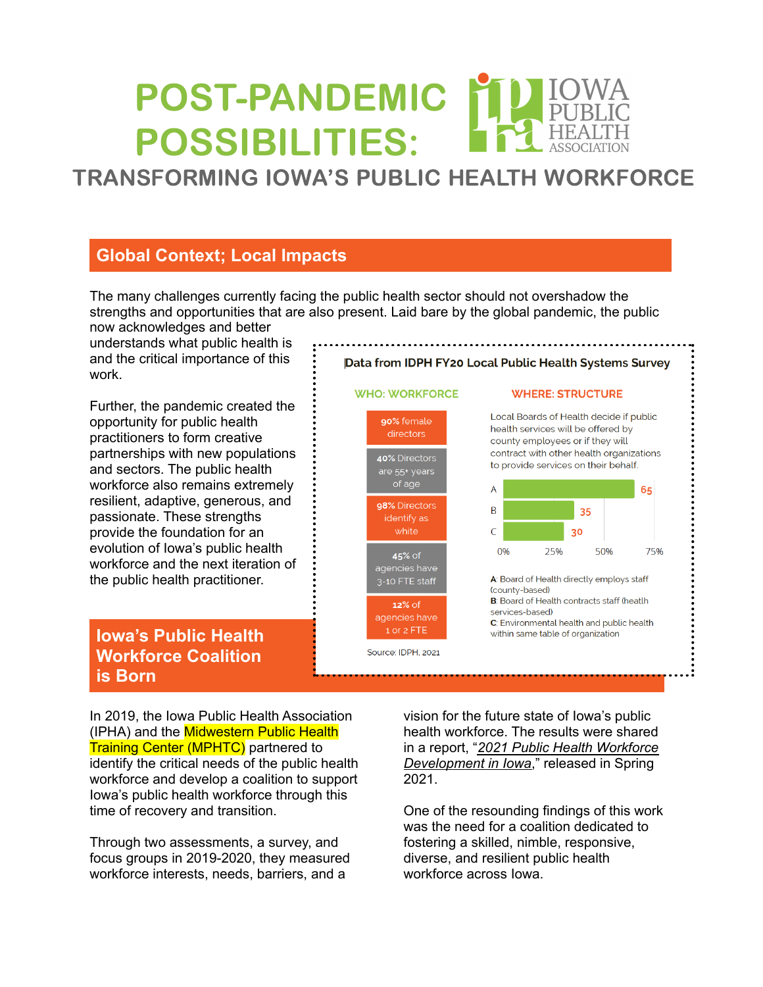# POST-PANDEMIC POSSIBILITIES:

# TRANSFORMING IOWA'S PUBLIC HEALTH WORKFORCE

# **Global Context; Local Impacts**

The many challenges currently facing the public health sector should not overshadow the strengths and opportunities that are also present. Laid bare by the global pandemic, the public now acknowledges and better

understands what public health is and the critical importance of this work.

Further, the pandemic created the opportunity for public health practitioners to form creative partnerships with new populations and sectors. The public health workforce also remains extremely resilient, adaptive, generous, and passionate. These strengths provide the foundation for an evolution of Iowa's public health workforce and the next iteration of the public health practitioner.

### **Iowa's Public Health Workforce Coalition is Born**



Data from IDPH FY20 Local Public Health Systems Survey

#### **WHERE: STRUCTURE**

Local Boards of Health decide if public health services will be offered by county employees or if they will contract with other health organizations to provide services on their behalf.



In 2019, the Iowa Public Health Association (IPHA) and the Midwestern Public Health **Training Center (MPHTC)** partnered to identify the critical needs of the public health workforce and develop a coalition to support Iowa's public health workforce through this time of recovery and transition.

Through two assessments, a survey, and focus groups in 2019-2020, they measured workforce interests, needs, barriers, and a

vision for the future state of Iowa's public health workforce. The results were shared in a report, "*2021 Public Health [Workforce](https://www.mphtc.org/wp-content/uploads/2021/04/Iowa-PH-WFD-Report.pdf) [Development](https://www.mphtc.org/wp-content/uploads/2021/04/Iowa-PH-WFD-Report.pdf) in Iowa*," released in Spring 2021.

One of the resounding findings of this work was the need for a coalition dedicated to fostering a skilled, nimble, responsive, diverse, and resilient public health workforce across Iowa.